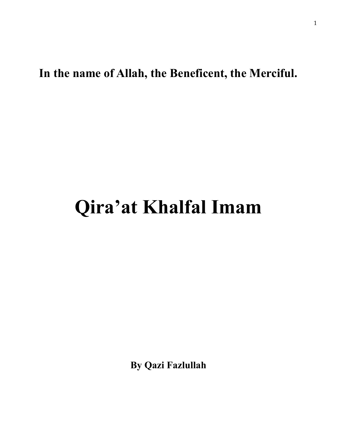**In the name of Allah, the Beneficent, the Merciful.** 

## **Qira'at Khalfal Imam**

**By Qazi Fazlullah**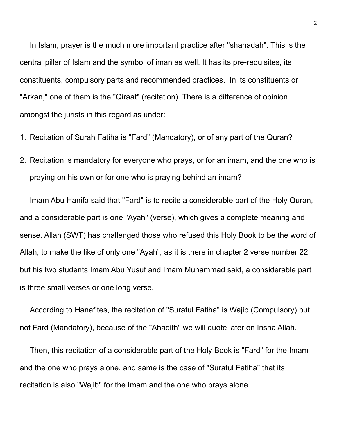In Islam, prayer is the much more important practice after "shahadah". This is the central pillar of Islam and the symbol of iman as well. It has its pre-requisites, its constituents, compulsory parts and recommended practices. In its constituents or "Arkan," one of them is the "Qiraat" (recitation). There is a difference of opinion amongst the jurists in this regard as under:

- 1. Recitation of Surah Fatiha is "Fard" (Mandatory), or of any part of the Quran?
- 2. Recitation is mandatory for everyone who prays, or for an imam, and the one who is praying on his own or for one who is praying behind an imam?

Imam Abu Hanifa said that "Fard" is to recite a considerable part of the Holy Quran, and a considerable part is one "Ayah" (verse), which gives a complete meaning and sense. Allah (SWT) has challenged those who refused this Holy Book to be the word of Allah, to make the like of only one "Ayah", as it is there in chapter 2 verse number 22, but his two students Imam Abu Yusuf and Imam Muhammad said, a considerable part is three small verses or one long verse.

According to Hanafites, the recitation of "Suratul Fatiha" is Wajib (Compulsory) but not Fard (Mandatory), because of the "Ahadith" we will quote later on Insha Allah.

Then, this recitation of a considerable part of the Holy Book is "Fard" for the Imam and the one who prays alone, and same is the case of "Suratul Fatiha" that its recitation is also "Wajib" for the Imam and the one who prays alone.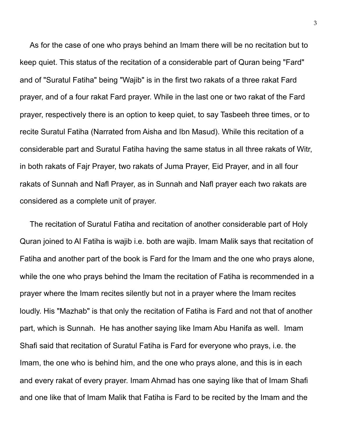As for the case of one who prays behind an Imam there will be no recitation but to keep quiet. This status of the recitation of a considerable part of Quran being "Fard" and of "Suratul Fatiha" being "Wajib" is in the first two rakats of a three rakat Fard prayer, and of a four rakat Fard prayer. While in the last one or two rakat of the Fard prayer, respectively there is an option to keep quiet, to say Tasbeeh three times, or to recite Suratul Fatiha (Narrated from Aisha and Ibn Masud). While this recitation of a considerable part and Suratul Fatiha having the same status in all three rakats of Witr, in both rakats of Fajr Prayer, two rakats of Juma Prayer, Eid Prayer, and in all four rakats of Sunnah and Nafl Prayer, as in Sunnah and Nafl prayer each two rakats are considered as a complete unit of prayer.

The recitation of Suratul Fatiha and recitation of another considerable part of Holy Quran joined to Al Fatiha is wajib i.e. both are wajib. Imam Malik says that recitation of Fatiha and another part of the book is Fard for the Imam and the one who prays alone, while the one who prays behind the Imam the recitation of Fatiha is recommended in a prayer where the Imam recites silently but not in a prayer where the Imam recites loudly. His "Mazhab" is that only the recitation of Fatiha is Fard and not that of another part, which is Sunnah. He has another saying like Imam Abu Hanifa as well. Imam Shafi said that recitation of Suratul Fatiha is Fard for everyone who prays, i.e. the Imam, the one who is behind him, and the one who prays alone, and this is in each and every rakat of every prayer. Imam Ahmad has one saying like that of Imam Shafi and one like that of Imam Malik that Fatiha is Fard to be recited by the Imam and the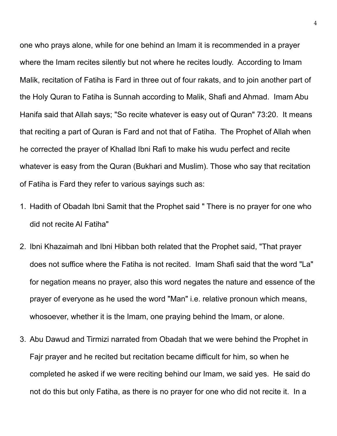one who prays alone, while for one behind an Imam it is recommended in a prayer where the Imam recites silently but not where he recites loudly. According to Imam Malik, recitation of Fatiha is Fard in three out of four rakats, and to join another part of the Holy Quran to Fatiha is Sunnah according to Malik, Shafi and Ahmad. Imam Abu Hanifa said that Allah says; "So recite whatever is easy out of Quran" 73:20. It means that reciting a part of Quran is Fard and not that of Fatiha. The Prophet of Allah when he corrected the prayer of Khallad Ibni Rafi to make his wudu perfect and recite whatever is easy from the Quran (Bukhari and Muslim). Those who say that recitation of Fatiha is Fard they refer to various sayings such as:

- 1. Hadith of Obadah Ibni Samit that the Prophet said " There is no prayer for one who did not recite Al Fatiha"
- 2. Ibni Khazaimah and Ibni Hibban both related that the Prophet said, "That prayer does not suffice where the Fatiha is not recited. Imam Shafi said that the word "La" for negation means no prayer, also this word negates the nature and essence of the prayer of everyone as he used the word "Man" i.e. relative pronoun which means, whosoever, whether it is the Imam, one praying behind the Imam, or alone.
- 3. Abu Dawud and Tirmizi narrated from Obadah that we were behind the Prophet in Fajr prayer and he recited but recitation became difficult for him, so when he completed he asked if we were reciting behind our Imam, we said yes. He said do not do this but only Fatiha, as there is no prayer for one who did not recite it. In a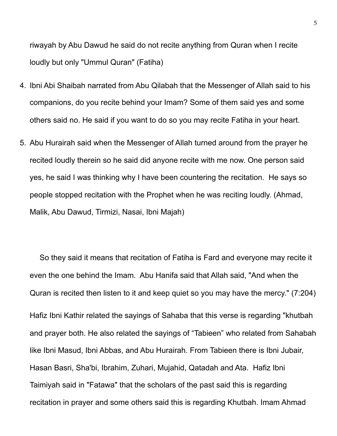riwayah by Abu Dawud he said do not recite anything from Quran when I recite loudly but only "Ummul Quran" (Fatiha)

- 4. Ibni Abi Shaibah narrated from Abu Qilabah that the Messenger of Allah said to his companions, do you recite behind your Imam? Some of them said yes and some others said no. He said if you want to do so you may recite Fatiha in your heart.
- 5. Abu Hurairah said when the Messenger of Allah turned around from the prayer he recited loudly therein so he said did anyone recite with me now. One person said yes, he said I was thinking why I have been countering the recitation. He says so people stopped recitation with the Prophet when he was reciting loudly. (Ahmad, Malik, Abu Dawud, Tirmizi, Nasai, Ibni Majah)

So they said it means that recitation of Fatiha is Fard and everyone may recite it even the one behind the Imam. Abu Hanifa said that Allah said, "And when the Quran is recited then listen to it and keep quiet so you may have the mercy." (7:204) Hafiz Ibni Kathir related the sayings of Sahaba that this verse is regarding "khutbah and prayer both. He also related the sayings of "Tabieen" who related from Sahabah like Ibni Masud, Ibni Abbas, and Abu Hurairah. From Tabieen there is Ibni Jubair, Hasan Basri, Sha'bi, Ibrahim, Zuhari, Mujahid, Qatadah and Ata. Hafiz Ibni Taimiyah said in "Fatawa" that the scholars of the past said this is regarding recitation in prayer and some others said this is regarding Khutbah. Imam Ahmad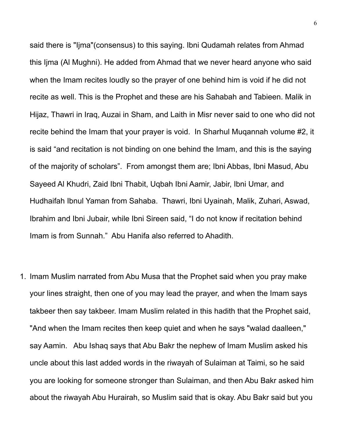said there is "Ijma"(consensus) to this saying. Ibni Qudamah relates from Ahmad this Ijma (Al Mughni). He added from Ahmad that we never heard anyone who said when the Imam recites loudly so the prayer of one behind him is void if he did not recite as well. This is the Prophet and these are his Sahabah and Tabieen. Malik in Hijaz, Thawri in Iraq, Auzai in Sham, and Laith in Misr never said to one who did not recite behind the Imam that your prayer is void. In Sharhul Muqannah volume #2, it is said "and recitation is not binding on one behind the Imam, and this is the saying of the majority of scholars". From amongst them are; Ibni Abbas, Ibni Masud, Abu Sayeed Al Khudri, Zaid Ibni Thabit, Uqbah Ibni Aamir, Jabir, Ibni Umar, and Hudhaifah Ibnul Yaman from Sahaba. Thawri, Ibni Uyainah, Malik, Zuhari, Aswad, Ibrahim and Ibni Jubair, while Ibni Sireen said, "I do not know if recitation behind Imam is from Sunnah." Abu Hanifa also referred to Ahadith.

1. Imam Muslim narrated from Abu Musa that the Prophet said when you pray make your lines straight, then one of you may lead the prayer, and when the Imam says takbeer then say takbeer. Imam Muslim related in this hadith that the Prophet said, "And when the Imam recites then keep quiet and when he says "walad daalleen," say Aamin. Abu Ishaq says that Abu Bakr the nephew of Imam Muslim asked his uncle about this last added words in the riwayah of Sulaiman at Taimi, so he said you are looking for someone stronger than Sulaiman, and then Abu Bakr asked him about the riwayah Abu Hurairah, so Muslim said that is okay. Abu Bakr said but you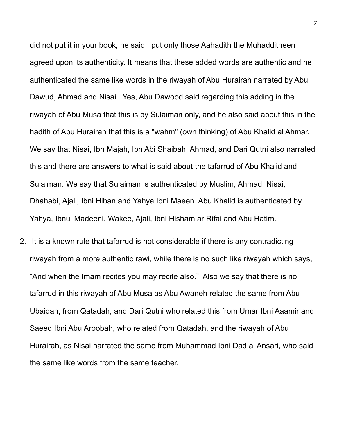did not put it in your book, he said I put only those Aahadith the Muhadditheen agreed upon its authenticity. It means that these added words are authentic and he authenticated the same like words in the riwayah of Abu Hurairah narrated by Abu Dawud, Ahmad and Nisai. Yes, Abu Dawood said regarding this adding in the riwayah of Abu Musa that this is by Sulaiman only, and he also said about this in the hadith of Abu Hurairah that this is a "wahm" (own thinking) of Abu Khalid al Ahmar. We say that Nisai, Ibn Majah, Ibn Abi Shaibah, Ahmad, and Dari Qutni also narrated this and there are answers to what is said about the tafarrud of Abu Khalid and Sulaiman. We say that Sulaiman is authenticated by Muslim, Ahmad, Nisai, Dhahabi, Ajali, Ibni Hiban and Yahya Ibni Maeen. Abu Khalid is authenticated by Yahya, Ibnul Madeeni, Wakee, Ajali, Ibni Hisham ar Rifai and Abu Hatim.

2. It is a known rule that tafarrud is not considerable if there is any contradicting riwayah from a more authentic rawi, while there is no such like riwayah which says, "And when the Imam recites you may recite also." Also we say that there is no tafarrud in this riwayah of Abu Musa as Abu Awaneh related the same from Abu Ubaidah, from Qatadah, and Dari Qutni who related this from Umar Ibni Aaamir and Saeed Ibni Abu Aroobah, who related from Qatadah, and the riwayah of Abu Hurairah, as Nisai narrated the same from Muhammad Ibni Dad al Ansari, who said the same like words from the same teacher.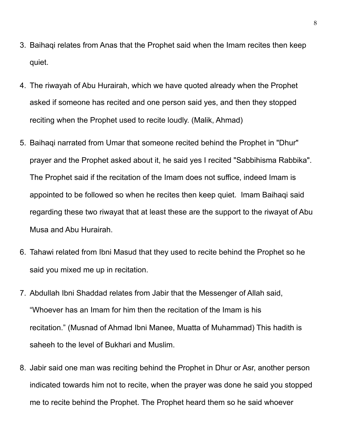- 3. Baihaqi relates from Anas that the Prophet said when the Imam recites then keep quiet.
- 4. The riwayah of Abu Hurairah, which we have quoted already when the Prophet asked if someone has recited and one person said yes, and then they stopped reciting when the Prophet used to recite loudly. (Malik, Ahmad)
- 5. Baihaqi narrated from Umar that someone recited behind the Prophet in "Dhur" prayer and the Prophet asked about it, he said yes I recited "Sabbihisma Rabbika". The Prophet said if the recitation of the Imam does not suffice, indeed Imam is appointed to be followed so when he recites then keep quiet. Imam Baihaqi said regarding these two riwayat that at least these are the support to the riwayat of Abu Musa and Abu Hurairah.
- 6. Tahawi related from Ibni Masud that they used to recite behind the Prophet so he said you mixed me up in recitation.
- 7. Abdullah Ibni Shaddad relates from Jabir that the Messenger of Allah said, "Whoever has an Imam for him then the recitation of the Imam is his recitation." (Musnad of Ahmad Ibni Manee, Muatta of Muhammad) This hadith is saheeh to the level of Bukhari and Muslim.
- 8. Jabir said one man was reciting behind the Prophet in Dhur or Asr, another person indicated towards him not to recite, when the prayer was done he said you stopped me to recite behind the Prophet. The Prophet heard them so he said whoever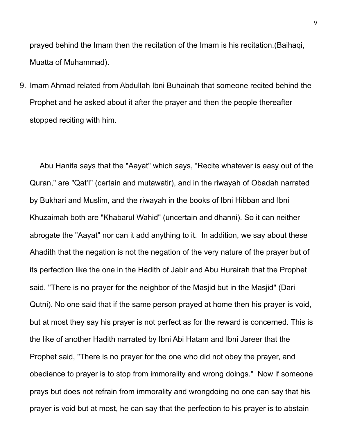prayed behind the Imam then the recitation of the Imam is his recitation.(Baihaqi, Muatta of Muhammad).

9. Imam Ahmad related from Abdullah Ibni Buhainah that someone recited behind the Prophet and he asked about it after the prayer and then the people thereafter stopped reciting with him.

Abu Hanifa says that the "Aayat" which says, "Recite whatever is easy out of the Quran," are "Qat'I" (certain and mutawatir), and in the riwayah of Obadah narrated by Bukhari and Muslim, and the riwayah in the books of Ibni Hibban and Ibni Khuzaimah both are "Khabarul Wahid" (uncertain and dhanni). So it can neither abrogate the "Aayat" nor can it add anything to it. In addition, we say about these Ahadith that the negation is not the negation of the very nature of the prayer but of its perfection like the one in the Hadith of Jabir and Abu Hurairah that the Prophet said, "There is no prayer for the neighbor of the Masjid but in the Masjid" (Dari Qutni). No one said that if the same person prayed at home then his prayer is void, but at most they say his prayer is not perfect as for the reward is concerned. This is the like of another Hadith narrated by Ibni Abi Hatam and Ibni Jareer that the Prophet said, "There is no prayer for the one who did not obey the prayer, and obedience to prayer is to stop from immorality and wrong doings." Now if someone prays but does not refrain from immorality and wrongdoing no one can say that his prayer is void but at most, he can say that the perfection to his prayer is to abstain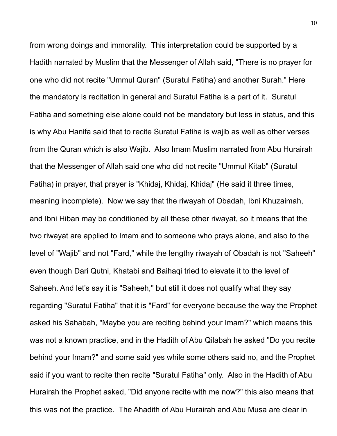from wrong doings and immorality. This interpretation could be supported by a Hadith narrated by Muslim that the Messenger of Allah said, "There is no prayer for one who did not recite "Ummul Quran" (Suratul Fatiha) and another Surah." Here the mandatory is recitation in general and Suratul Fatiha is a part of it. Suratul Fatiha and something else alone could not be mandatory but less in status, and this is why Abu Hanifa said that to recite Suratul Fatiha is wajib as well as other verses from the Quran which is also Wajib. Also Imam Muslim narrated from Abu Hurairah that the Messenger of Allah said one who did not recite "Ummul Kitab" (Suratul Fatiha) in prayer, that prayer is "Khidaj, Khidaj, Khidaj" (He said it three times, meaning incomplete). Now we say that the riwayah of Obadah, Ibni Khuzaimah, and Ibni Hiban may be conditioned by all these other riwayat, so it means that the two riwayat are applied to Imam and to someone who prays alone, and also to the level of "Wajib" and not "Fard," while the lengthy riwayah of Obadah is not "Saheeh" even though Dari Qutni, Khatabi and Baihaqi tried to elevate it to the level of Saheeh. And let's say it is "Saheeh," but still it does not qualify what they say regarding "Suratul Fatiha" that it is "Fard" for everyone because the way the Prophet asked his Sahabah, "Maybe you are reciting behind your Imam?" which means this was not a known practice, and in the Hadith of Abu Qilabah he asked "Do you recite behind your Imam?" and some said yes while some others said no, and the Prophet said if you want to recite then recite "Suratul Fatiha" only. Also in the Hadith of Abu Hurairah the Prophet asked, "Did anyone recite with me now?" this also means that this was not the practice. The Ahadith of Abu Hurairah and Abu Musa are clear in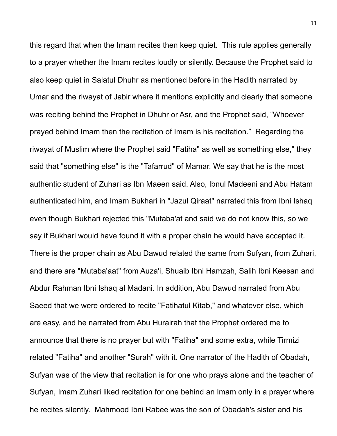this regard that when the Imam recites then keep quiet. This rule applies generally to a prayer whether the Imam recites loudly or silently. Because the Prophet said to also keep quiet in Salatul Dhuhr as mentioned before in the Hadith narrated by Umar and the riwayat of Jabir where it mentions explicitly and clearly that someone was reciting behind the Prophet in Dhuhr or Asr, and the Prophet said, "Whoever prayed behind Imam then the recitation of Imam is his recitation." Regarding the riwayat of Muslim where the Prophet said "Fatiha" as well as something else," they said that "something else" is the "Tafarrud" of Mamar. We say that he is the most authentic student of Zuhari as Ibn Maeen said. Also, Ibnul Madeeni and Abu Hatam authenticated him, and Imam Bukhari in "Jazul Qiraat" narrated this from Ibni Ishaq even though Bukhari rejected this "Mutaba'at and said we do not know this, so we say if Bukhari would have found it with a proper chain he would have accepted it. There is the proper chain as Abu Dawud related the same from Sufyan, from Zuhari, and there are "Mutaba'aat" from Auza'i, Shuaib Ibni Hamzah, Salih Ibni Keesan and Abdur Rahman Ibni Ishaq al Madani. In addition, Abu Dawud narrated from Abu Saeed that we were ordered to recite "Fatihatul Kitab," and whatever else, which are easy, and he narrated from Abu Hurairah that the Prophet ordered me to announce that there is no prayer but with "Fatiha" and some extra, while Tirmizi related "Fatiha" and another "Surah" with it. One narrator of the Hadith of Obadah, Sufyan was of the view that recitation is for one who prays alone and the teacher of Sufyan, Imam Zuhari liked recitation for one behind an Imam only in a prayer where he recites silently. Mahmood Ibni Rabee was the son of Obadah's sister and his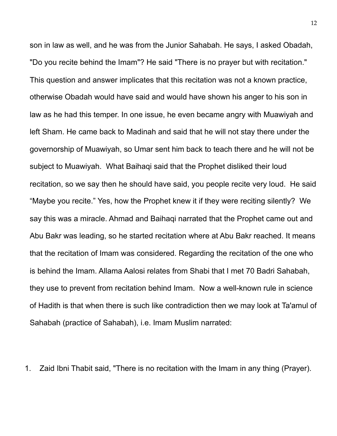son in law as well, and he was from the Junior Sahabah. He says, I asked Obadah, "Do you recite behind the Imam"? He said "There is no prayer but with recitation." This question and answer implicates that this recitation was not a known practice, otherwise Obadah would have said and would have shown his anger to his son in law as he had this temper. In one issue, he even became angry with Muawiyah and left Sham. He came back to Madinah and said that he will not stay there under the governorship of Muawiyah, so Umar sent him back to teach there and he will not be subject to Muawiyah. What Baihaqi said that the Prophet disliked their loud recitation, so we say then he should have said, you people recite very loud. He said "Maybe you recite." Yes, how the Prophet knew it if they were reciting silently? We say this was a miracle. Ahmad and Baihaqi narrated that the Prophet came out and Abu Bakr was leading, so he started recitation where at Abu Bakr reached. It means that the recitation of Imam was considered. Regarding the recitation of the one who is behind the Imam. Allama Aalosi relates from Shabi that I met 70 Badri Sahabah, they use to prevent from recitation behind Imam. Now a well-known rule in science of Hadith is that when there is such like contradiction then we may look at Ta'amul of Sahabah (practice of Sahabah), i.e. Imam Muslim narrated:

1. Zaid Ibni Thabit said, "There is no recitation with the Imam in any thing (Prayer).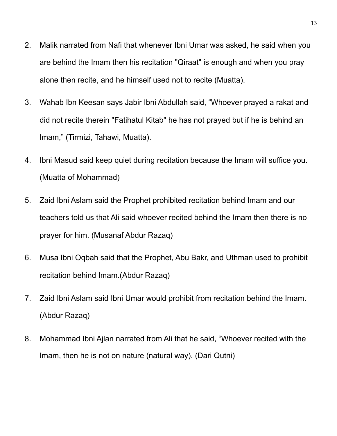- 2. Malik narrated from Nafi that whenever Ibni Umar was asked, he said when you are behind the Imam then his recitation "Qiraat" is enough and when you pray alone then recite, and he himself used not to recite (Muatta).
- 3. Wahab Ibn Keesan says Jabir Ibni Abdullah said, "Whoever prayed a rakat and did not recite therein "Fatihatul Kitab" he has not prayed but if he is behind an Imam," (Tirmizi, Tahawi, Muatta).
- 4. Ibni Masud said keep quiet during recitation because the Imam will suffice you. (Muatta of Mohammad)
- 5. Zaid Ibni Aslam said the Prophet prohibited recitation behind Imam and our teachers told us that Ali said whoever recited behind the Imam then there is no prayer for him. (Musanaf Abdur Razaq)
- 6. Musa Ibni Oqbah said that the Prophet, Abu Bakr, and Uthman used to prohibit recitation behind Imam.(Abdur Razaq)
- 7. Zaid Ibni Aslam said Ibni Umar would prohibit from recitation behind the Imam. (Abdur Razaq)
- 8. Mohammad Ibni Ajlan narrated from Ali that he said, "Whoever recited with the Imam, then he is not on nature (natural way). (Dari Qutni)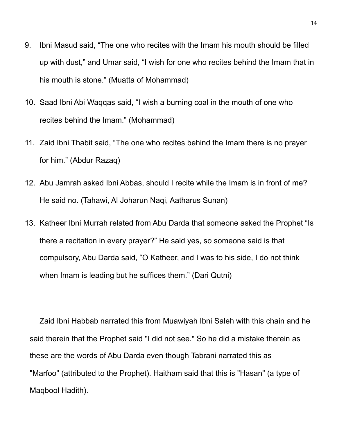- 9. Ibni Masud said, "The one who recites with the Imam his mouth should be filled up with dust," and Umar said, "I wish for one who recites behind the Imam that in his mouth is stone." (Muatta of Mohammad)
- 10. Saad Ibni Abi Waqqas said, "I wish a burning coal in the mouth of one who recites behind the Imam." (Mohammad)
- 11. Zaid Ibni Thabit said, "The one who recites behind the Imam there is no prayer for him." (Abdur Razaq)
- 12. Abu Jamrah asked Ibni Abbas, should I recite while the Imam is in front of me? He said no. (Tahawi, Al Joharun Naqi, Aatharus Sunan)
- 13. Katheer Ibni Murrah related from Abu Darda that someone asked the Prophet "Is there a recitation in every prayer?" He said yes, so someone said is that compulsory, Abu Darda said, "O Katheer, and I was to his side, I do not think when Imam is leading but he suffices them." (Dari Qutni)

Zaid Ibni Habbab narrated this from Muawiyah Ibni Saleh with this chain and he said therein that the Prophet said "I did not see." So he did a mistake therein as these are the words of Abu Darda even though Tabrani narrated this as "Marfoo" (attributed to the Prophet). Haitham said that this is "Hasan" (a type of Maqbool Hadith).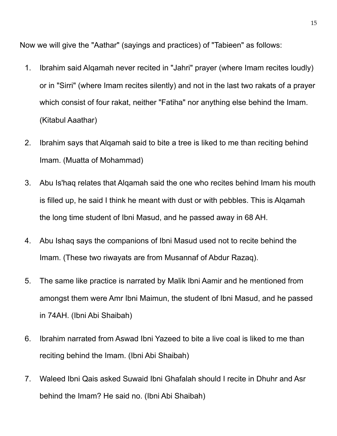Now we will give the "Aathar" (sayings and practices) of "Tabieen" as follows:

- 1. Ibrahim said Alqamah never recited in "Jahri" prayer (where Imam recites loudly) or in "Sirri" (where Imam recites silently) and not in the last two rakats of a prayer which consist of four rakat, neither "Fatiha" nor anything else behind the Imam. (Kitabul Aaathar)
- 2. Ibrahim says that Alqamah said to bite a tree is liked to me than reciting behind Imam. (Muatta of Mohammad)
- 3. Abu Is'haq relates that Alqamah said the one who recites behind Imam his mouth is filled up, he said I think he meant with dust or with pebbles. This is Alqamah the long time student of Ibni Masud, and he passed away in 68 AH.
- 4. Abu Ishaq says the companions of Ibni Masud used not to recite behind the Imam. (These two riwayats are from Musannaf of Abdur Razaq).
- 5. The same like practice is narrated by Malik Ibni Aamir and he mentioned from amongst them were Amr Ibni Maimun, the student of Ibni Masud, and he passed in 74AH. (Ibni Abi Shaibah)
- 6. Ibrahim narrated from Aswad Ibni Yazeed to bite a live coal is liked to me than reciting behind the Imam. (Ibni Abi Shaibah)
- 7. Waleed Ibni Qais asked Suwaid Ibni Ghafalah should I recite in Dhuhr and Asr behind the Imam? He said no. (Ibni Abi Shaibah)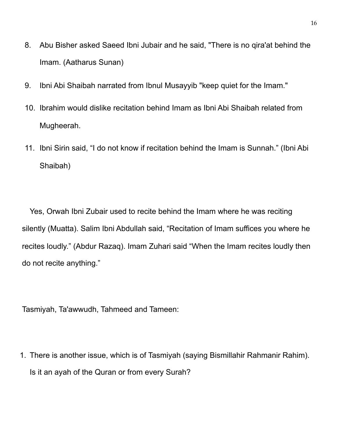- 8. Abu Bisher asked Saeed Ibni Jubair and he said, "There is no qira'at behind the Imam. (Aatharus Sunan)
- 9. Ibni Abi Shaibah narrated from Ibnul Musayyib "keep quiet for the Imam."
- 10. Ibrahim would dislike recitation behind Imam as Ibni Abi Shaibah related from Mugheerah.
- 11. Ibni Sirin said, "I do not know if recitation behind the Imam is Sunnah." (Ibni Abi Shaibah)

Yes, Orwah Ibni Zubair used to recite behind the Imam where he was reciting silently (Muatta). Salim Ibni Abdullah said, "Recitation of Imam suffices you where he recites loudly." (Abdur Razaq). Imam Zuhari said "When the Imam recites loudly then do not recite anything."

Tasmiyah, Ta'awwudh, Tahmeed and Tameen:

1. There is another issue, which is of Tasmiyah (saying Bismillahir Rahmanir Rahim). Is it an ayah of the Quran or from every Surah?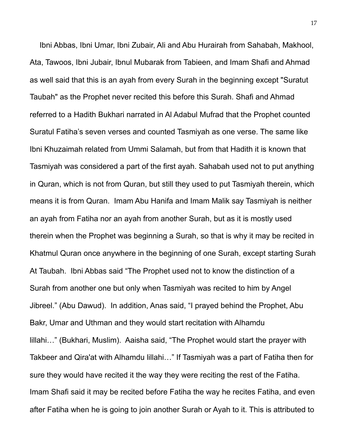Ibni Abbas, Ibni Umar, Ibni Zubair, Ali and Abu Hurairah from Sahabah, Makhool, Ata, Tawoos, Ibni Jubair, Ibnul Mubarak from Tabieen, and Imam Shafi and Ahmad as well said that this is an ayah from every Surah in the beginning except "Suratut Taubah" as the Prophet never recited this before this Surah. Shafi and Ahmad referred to a Hadith Bukhari narrated in Al Adabul Mufrad that the Prophet counted Suratul Fatiha's seven verses and counted Tasmiyah as one verse. The same like Ibni Khuzaimah related from Ummi Salamah, but from that Hadith it is known that Tasmiyah was considered a part of the first ayah. Sahabah used not to put anything in Quran, which is not from Quran, but still they used to put Tasmiyah therein, which means it is from Quran. Imam Abu Hanifa and Imam Malik say Tasmiyah is neither an ayah from Fatiha nor an ayah from another Surah, but as it is mostly used therein when the Prophet was beginning a Surah, so that is why it may be recited in Khatmul Quran once anywhere in the beginning of one Surah, except starting Surah At Taubah. Ibni Abbas said "The Prophet used not to know the distinction of a Surah from another one but only when Tasmiyah was recited to him by Angel Jibreel." (Abu Dawud). In addition, Anas said, "I prayed behind the Prophet, Abu Bakr, Umar and Uthman and they would start recitation with Alhamdu lillahi…" (Bukhari, Muslim). Aaisha said, "The Prophet would start the prayer with Takbeer and Qira'at with Alhamdu lillahi…" If Tasmiyah was a part of Fatiha then for sure they would have recited it the way they were reciting the rest of the Fatiha. Imam Shafi said it may be recited before Fatiha the way he recites Fatiha, and even after Fatiha when he is going to join another Surah or Ayah to it. This is attributed to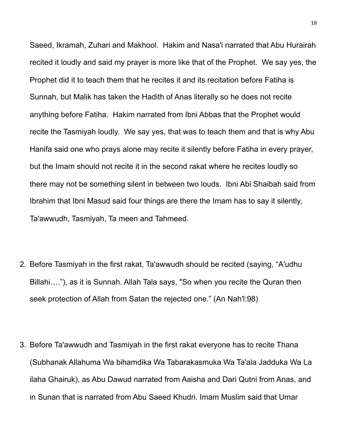Saeed, Ikramah, Zuhari and Makhool. Hakim and Nasa'i narrated that Abu Hurairah recited it loudly and said my prayer is more like that of the Prophet. We say yes, the Prophet did it to teach them that he recites it and its recitation before Fatiha is Sunnah, but Malik has taken the Hadith of Anas literally so he does not recite anything before Fatiha. Hakim narrated from Ibni Abbas that the Prophet would recite the Tasmiyah loudly. We say yes, that was to teach them and that is why Abu Hanifa said one who prays alone may recite it silently before Fatiha in every prayer, but the Imam should not recite it in the second rakat where he recites loudly so there may not be something silent in between two louds. Ibni Abi Shaibah said from Ibrahim that Ibni Masud said four things are there the Imam has to say it silently, Ta'awwudh, Tasmiyah, Ta meen and Tahmeed.

- 2. Before Tasmiyah in the first rakat, Ta'awwudh should be recited (saying, "A'udhu Billahi…."), as it is Sunnah. Allah Tala says, "So when you recite the Quran then seek protection of Allah from Satan the rejected one." (An Nah'l:98)
- 3. Before Ta'awwudh and Tasmiyah in the first rakat everyone has to recite Thana (Subhanak Allahuma Wa bihamdika Wa Tabarakasmuka Wa Ta'ala Jadduka Wa La ilaha Ghairuk), as Abu Dawud narrated from Aaisha and Dari Qutni from Anas, and in Sunan that is narrated from Abu Saeed Khudri. Imam Muslim said that Umar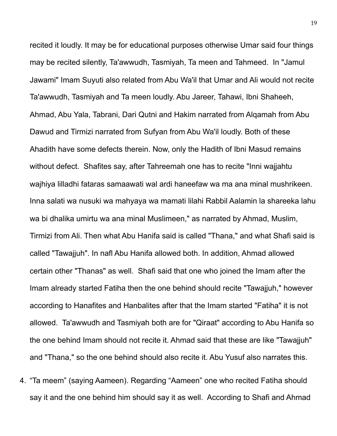recited it loudly. It may be for educational purposes otherwise Umar said four things may be recited silently, Ta'awwudh, Tasmiyah, Ta meen and Tahmeed. In "Jamul Jawami" Imam Suyuti also related from Abu Wa'il that Umar and Ali would not recite Ta'awwudh, Tasmiyah and Ta meen loudly. Abu Jareer, Tahawi, Ibni Shaheeh, Ahmad, Abu Yala, Tabrani, Dari Qutni and Hakim narrated from Alqamah from Abu Dawud and Tirmizi narrated from Sufyan from Abu Wa'il loudly. Both of these Ahadith have some defects therein. Now, only the Hadith of Ibni Masud remains without defect. Shafites say, after Tahreemah one has to recite "Inni wajjahtu wajhiya lilladhi fataras samaawati wal ardi haneefaw wa ma ana minal mushrikeen. Inna salati wa nusuki wa mahyaya wa mamati lilahi Rabbil Aalamin la shareeka lahu wa bi dhalika umirtu wa ana minal Muslimeen," as narrated by Ahmad, Muslim, Tirmizi from Ali. Then what Abu Hanifa said is called "Thana," and what Shafi said is called "Tawajjuh". In nafl Abu Hanifa allowed both. In addition, Ahmad allowed certain other "Thanas" as well. Shafi said that one who joined the Imam after the Imam already started Fatiha then the one behind should recite "Tawajjuh," however according to Hanafites and Hanbalites after that the Imam started "Fatiha" it is not allowed. Ta'awwudh and Tasmiyah both are for "Qiraat" according to Abu Hanifa so the one behind Imam should not recite it. Ahmad said that these are like "Tawajjuh" and "Thana," so the one behind should also recite it. Abu Yusuf also narrates this.

4. "Ta meem" (saying Aameen). Regarding "Aameen" one who recited Fatiha should say it and the one behind him should say it as well. According to Shafi and Ahmad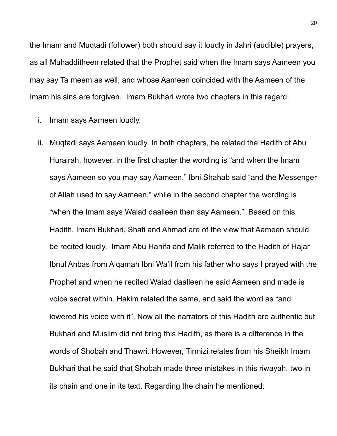the Imam and Muqtadi (follower) both should say it loudly in Jahri (audible) prayers, as all Muhadditheen related that the Prophet said when the Imam says Aameen you may say Ta meem as well, and whose Aameen coincided with the Aameen of the Imam his sins are forgiven. Imam Bukhari wrote two chapters in this regard.

- i. Imam says Aameen loudly.
- ii. Muqtadi says Aameen loudly. In both chapters, he related the Hadith of Abu Hurairah, however, in the first chapter the wording is "and when the Imam says Aameen so you may say Aameen." Ibni Shahab said "and the Messenger of Allah used to say Aameen," while in the second chapter the wording is "when the Imam says Walad daalleen then say Aameen." Based on this Hadith, Imam Bukhari, Shafi and Ahmad are of the view that Aameen should be recited loudly. Imam Abu Hanifa and Malik referred to the Hadith of Hajar Ibnul Anbas from Alqamah Ibni Wa'il from his father who says I prayed with the Prophet and when he recited Walad daalleen he said Aameen and made is voice secret within. Hakim related the same, and said the word as "and lowered his voice with it". Now all the narrators of this Hadith are authentic but Bukhari and Muslim did not bring this Hadith, as there is a difference in the words of Shobah and Thawri. However, Tirmizi relates from his Sheikh Imam Bukhari that he said that Shobah made three mistakes in this riwayah, two in its chain and one in its text. Regarding the chain he mentioned: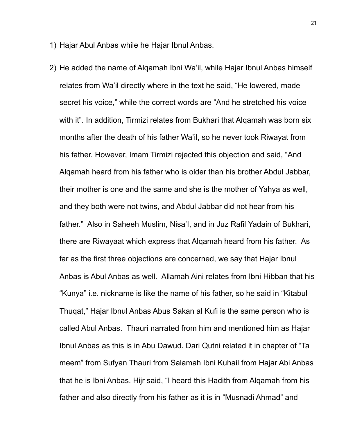- 1) Hajar Abul Anbas while he Hajar Ibnul Anbas.
- 2) He added the name of Alqamah Ibni Wa'il, while Hajar Ibnul Anbas himself relates from Wa'il directly where in the text he said, "He lowered, made secret his voice," while the correct words are "And he stretched his voice with it". In addition, Tirmizi relates from Bukhari that Alqamah was born six months after the death of his father Wa'il, so he never took Riwayat from his father. However, Imam Tirmizi rejected this objection and said, "And Alqamah heard from his father who is older than his brother Abdul Jabbar, their mother is one and the same and she is the mother of Yahya as well, and they both were not twins, and Abdul Jabbar did not hear from his father." Also in Saheeh Muslim, Nisa'I, and in Juz Rafil Yadain of Bukhari, there are Riwayaat which express that Alqamah heard from his father. As far as the first three objections are concerned, we say that Hajar Ibnul Anbas is Abul Anbas as well. Allamah Aini relates from Ibni Hibban that his "Kunya" i.e. nickname is like the name of his father, so he said in "Kitabul Thuqat," Hajar Ibnul Anbas Abus Sakan al Kufi is the same person who is called Abul Anbas. Thauri narrated from him and mentioned him as Hajar Ibnul Anbas as this is in Abu Dawud. Dari Qutni related it in chapter of "Ta meem" from Sufyan Thauri from Salamah Ibni Kuhail from Hajar Abi Anbas that he is Ibni Anbas. Hijr said, "I heard this Hadith from Alqamah from his father and also directly from his father as it is in "Musnadi Ahmad" and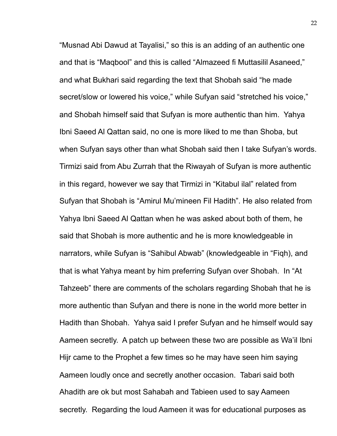"Musnad Abi Dawud at Tayalisi," so this is an adding of an authentic one and that is "Maqbool" and this is called "Almazeed fi Muttasilil Asaneed," and what Bukhari said regarding the text that Shobah said "he made secret/slow or lowered his voice," while Sufyan said "stretched his voice," and Shobah himself said that Sufyan is more authentic than him. Yahya Ibni Saeed Al Qattan said, no one is more liked to me than Shoba, but when Sufyan says other than what Shobah said then I take Sufyan's words. Tirmizi said from Abu Zurrah that the Riwayah of Sufyan is more authentic in this regard, however we say that Tirmizi in "Kitabul ilal" related from Sufyan that Shobah is "Amirul Mu'mineen Fil Hadith". He also related from Yahya Ibni Saeed Al Qattan when he was asked about both of them, he said that Shobah is more authentic and he is more knowledgeable in narrators, while Sufyan is "Sahibul Abwab" (knowledgeable in "Fiqh), and that is what Yahya meant by him preferring Sufyan over Shobah. In "At Tahzeeb" there are comments of the scholars regarding Shobah that he is more authentic than Sufyan and there is none in the world more better in Hadith than Shobah. Yahya said I prefer Sufyan and he himself would say Aameen secretly. A patch up between these two are possible as Wa'il Ibni Hijr came to the Prophet a few times so he may have seen him saying Aameen loudly once and secretly another occasion. Tabari said both Ahadith are ok but most Sahabah and Tabieen used to say Aameen secretly. Regarding the loud Aameen it was for educational purposes as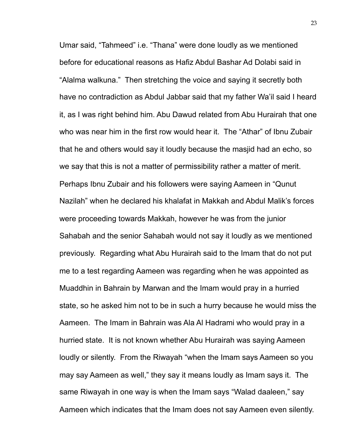Umar said, "Tahmeed" i.e. "Thana" were done loudly as we mentioned before for educational reasons as Hafiz Abdul Bashar Ad Dolabi said in "Alalma walkuna." Then stretching the voice and saying it secretly both have no contradiction as Abdul Jabbar said that my father Wa'il said I heard it, as I was right behind him. Abu Dawud related from Abu Hurairah that one who was near him in the first row would hear it. The "Athar" of Ibnu Zubair that he and others would say it loudly because the masjid had an echo, so we say that this is not a matter of permissibility rather a matter of merit. Perhaps Ibnu Zubair and his followers were saying Aameen in "Qunut Nazilah" when he declared his khalafat in Makkah and Abdul Malik's forces were proceeding towards Makkah, however he was from the junior Sahabah and the senior Sahabah would not say it loudly as we mentioned previously. Regarding what Abu Hurairah said to the Imam that do not put me to a test regarding Aameen was regarding when he was appointed as Muaddhin in Bahrain by Marwan and the Imam would pray in a hurried state, so he asked him not to be in such a hurry because he would miss the Aameen. The Imam in Bahrain was Ala Al Hadrami who would pray in a hurried state. It is not known whether Abu Hurairah was saying Aameen loudly or silently. From the Riwayah "when the Imam says Aameen so you may say Aameen as well," they say it means loudly as Imam says it. The same Riwayah in one way is when the Imam says "Walad daaleen," say Aameen which indicates that the Imam does not say Aameen even silently.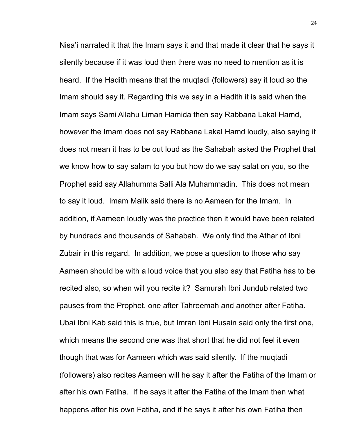Nisa'i narrated it that the Imam says it and that made it clear that he says it silently because if it was loud then there was no need to mention as it is heard. If the Hadith means that the muqtadi (followers) say it loud so the Imam should say it. Regarding this we say in a Hadith it is said when the Imam says Sami Allahu Liman Hamida then say Rabbana Lakal Hamd, however the Imam does not say Rabbana Lakal Hamd loudly, also saying it does not mean it has to be out loud as the Sahabah asked the Prophet that we know how to say salam to you but how do we say salat on you, so the Prophet said say Allahumma Salli Ala Muhammadin. This does not mean to say it loud. Imam Malik said there is no Aameen for the Imam. In addition, if Aameen loudly was the practice then it would have been related by hundreds and thousands of Sahabah. We only find the Athar of Ibni Zubair in this regard. In addition, we pose a question to those who say Aameen should be with a loud voice that you also say that Fatiha has to be recited also, so when will you recite it? Samurah Ibni Jundub related two pauses from the Prophet, one after Tahreemah and another after Fatiha. Ubai Ibni Kab said this is true, but Imran Ibni Husain said only the first one, which means the second one was that short that he did not feel it even though that was for Aameen which was said silently. If the muqtadi (followers) also recites Aameen will he say it after the Fatiha of the Imam or after his own Fatiha. If he says it after the Fatiha of the Imam then what happens after his own Fatiha, and if he says it after his own Fatiha then